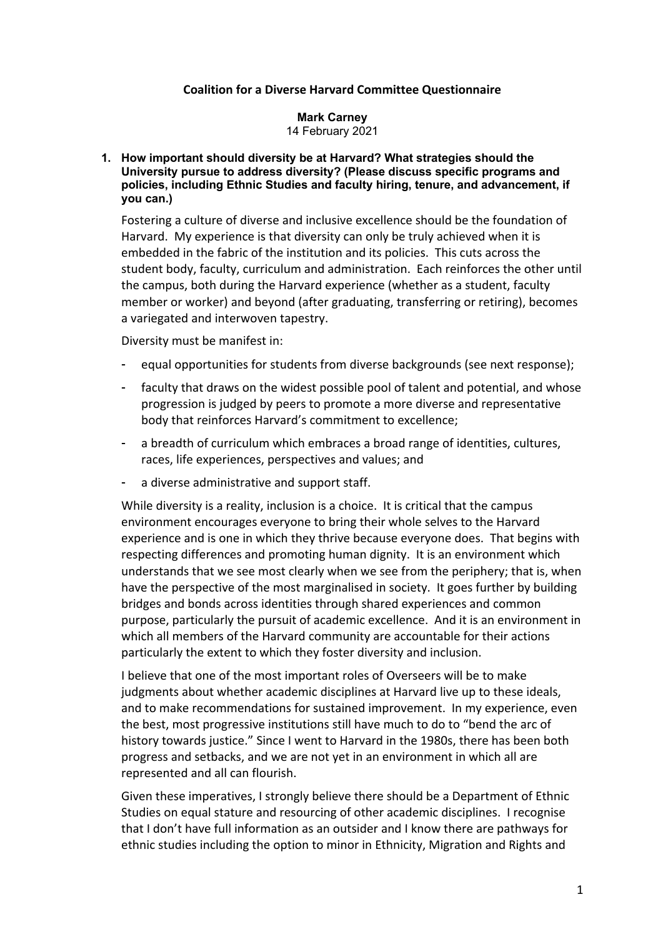# **Coalition for a Diverse Harvard Committee Questionnaire**

#### **Mark Carney** 14 February 2021

## **1. How important should diversity be at Harvard? What strategies should the University pursue to address diversity? (Please discuss specific programs and policies, including Ethnic Studies and faculty hiring, tenure, and advancement, if you can.)**

Fostering a culture of diverse and inclusive excellence should be the foundation of Harvard. My experience is that diversity can only be truly achieved when it is embedded in the fabric of the institution and its policies. This cuts across the student body, faculty, curriculum and administration. Each reinforces the other until the campus, both during the Harvard experience (whether as a student, faculty member or worker) and beyond (after graduating, transferring or retiring), becomes a variegated and interwoven tapestry.

Diversity must be manifest in:

- equal opportunities for students from diverse backgrounds (see next response);
- faculty that draws on the widest possible pool of talent and potential, and whose progression is judged by peers to promote a more diverse and representative body that reinforces Harvard's commitment to excellence;
- a breadth of curriculum which embraces a broad range of identities, cultures, races, life experiences, perspectives and values; and
- a diverse administrative and support staff.

While diversity is a reality, inclusion is a choice. It is critical that the campus environment encourages everyone to bring their whole selves to the Harvard experience and is one in which they thrive because everyone does. That begins with respecting differences and promoting human dignity. It is an environment which understands that we see most clearly when we see from the periphery; that is, when have the perspective of the most marginalised in society. It goes further by building bridges and bonds across identities through shared experiences and common purpose, particularly the pursuit of academic excellence. And it is an environment in which all members of the Harvard community are accountable for their actions particularly the extent to which they foster diversity and inclusion.

I believe that one of the most important roles of Overseers will be to make judgments about whether academic disciplines at Harvard live up to these ideals, and to make recommendations for sustained improvement. In my experience, even the best, most progressive institutions still have much to do to "bend the arc of history towards justice." Since I went to Harvard in the 1980s, there has been both progress and setbacks, and we are not yet in an environment in which all are represented and all can flourish.

Given these imperatives, I strongly believe there should be a Department of Ethnic Studies on equal stature and resourcing of other academic disciplines. I recognise that I don't have full information as an outsider and I know there are pathways for ethnic studies including the option to minor in Ethnicity, Migration and Rights and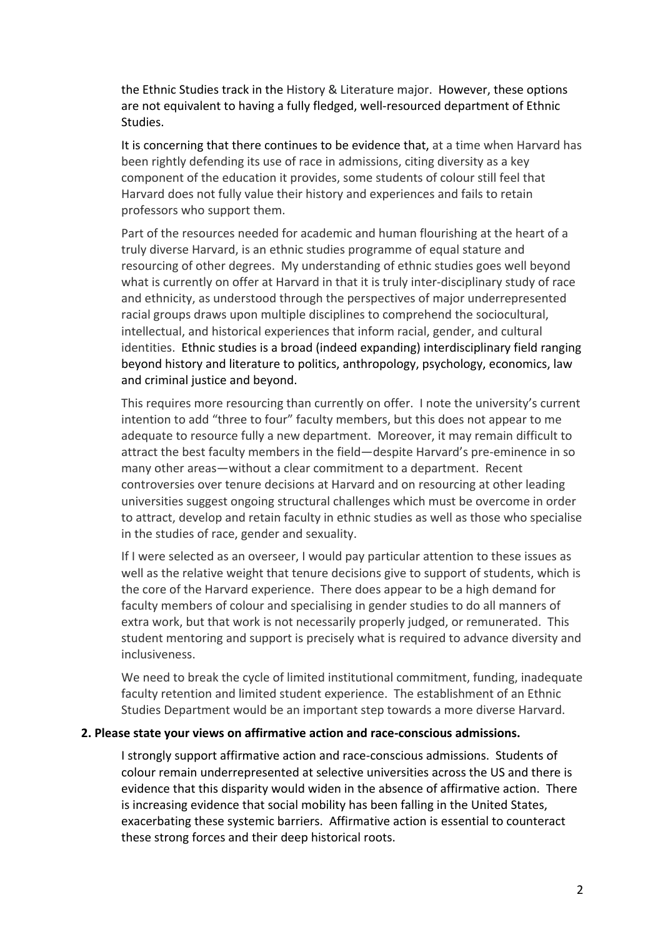the Ethnic Studies track in the History & Literature major. However, these options are not equivalent to having a fully fledged, well-resourced department of Ethnic Studies.

It is concerning that there continues to be evidence that, at a time when Harvard has been rightly defending its use of race in admissions, citing diversity as a key component of the education it provides, some students of colour still feel that Harvard does not fully value their history and experiences and fails to retain professors who support them.

Part of the resources needed for academic and human flourishing at the heart of a truly diverse Harvard, is an ethnic studies programme of equal stature and resourcing of other degrees. My understanding of ethnic studies goes well beyond what is currently on offer at Harvard in that it is truly inter-disciplinary study of race and ethnicity, as understood through the perspectives of major underrepresented racial groups draws upon multiple disciplines to comprehend the sociocultural, intellectual, and historical experiences that inform racial, gender, and cultural identities. Ethnic studies is a broad (indeed expanding) interdisciplinary field ranging beyond history and literature to politics, anthropology, psychology, economics, law and criminal justice and beyond.

This requires more resourcing than currently on offer. I note the university's current intention to add "three to four" faculty members, but this does not appear to me adequate to resource fully a new department. Moreover, it may remain difficult to attract the best faculty members in the field—despite Harvard's pre-eminence in so many other areas—without a clear commitment to a department. Recent controversies over tenure decisions at Harvard and on resourcing at other leading universities suggest ongoing structural challenges which must be overcome in order to attract, develop and retain faculty in ethnic studies as well as those who specialise in the studies of race, gender and sexuality.

If I were selected as an overseer, I would pay particular attention to these issues as well as the relative weight that tenure decisions give to support of students, which is the core of the Harvard experience. There does appear to be a high demand for faculty members of colour and specialising in gender studies to do all manners of extra work, but that work is not necessarily properly judged, or remunerated. This student mentoring and support is precisely what is required to advance diversity and inclusiveness.

We need to break the cycle of limited institutional commitment, funding, inadequate faculty retention and limited student experience. The establishment of an Ethnic Studies Department would be an important step towards a more diverse Harvard.

### **2. Please state your views on affirmative action and race-conscious admissions.**

I strongly support affirmative action and race-conscious admissions. Students of colour remain underrepresented at selective universities across the US and there is evidence that this disparity would widen in the absence of affirmative action. There is increasing evidence that social mobility has been falling in the United States, exacerbating these systemic barriers. Affirmative action is essential to counteract these strong forces and their deep historical roots.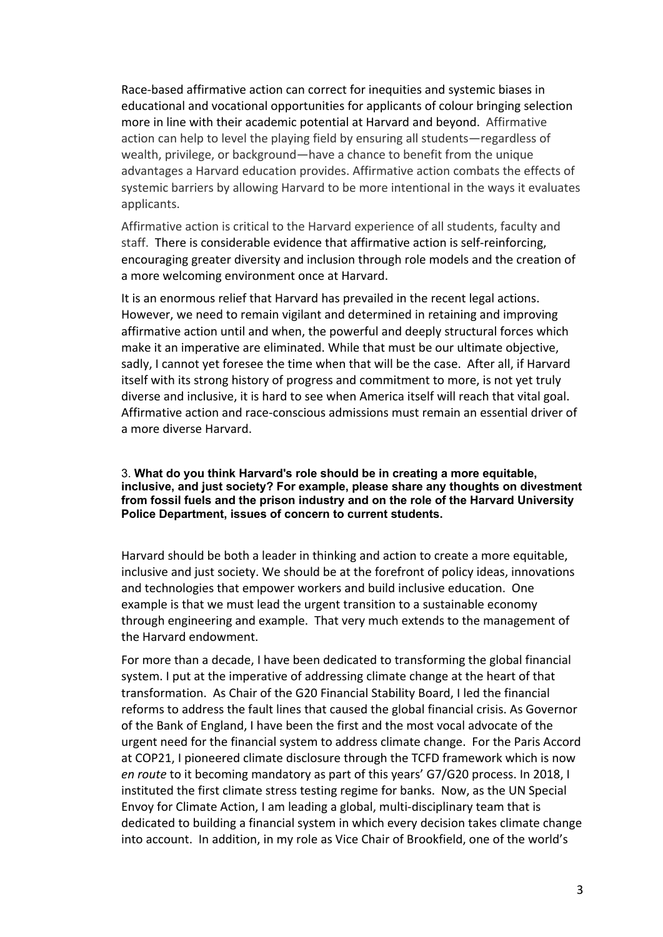Race-based affirmative action can correct for inequities and systemic biases in educational and vocational opportunities for applicants of colour bringing selection more in line with their academic potential at Harvard and beyond. Affirmative action can help to level the playing field by ensuring all students—regardless of wealth, privilege, or background—have a chance to benefit from the unique advantages a Harvard education provides. Affirmative action combats the effects of systemic barriers by allowing Harvard to be more intentional in the ways it evaluates applicants.

Affirmative action is critical to the Harvard experience of all students, faculty and staff. There is considerable evidence that affirmative action is self-reinforcing, encouraging greater diversity and inclusion through role models and the creation of a more welcoming environment once at Harvard.

It is an enormous relief that Harvard has prevailed in the recent legal actions. However, we need to remain vigilant and determined in retaining and improving affirmative action until and when, the powerful and deeply structural forces which make it an imperative are eliminated. While that must be our ultimate objective, sadly, I cannot yet foresee the time when that will be the case. After all, if Harvard itself with its strong history of progress and commitment to more, is not yet truly diverse and inclusive, it is hard to see when America itself will reach that vital goal. Affirmative action and race-conscious admissions must remain an essential driver of a more diverse Harvard.

### 3. **What do you think Harvard's role should be in creating a more equitable, inclusive, and just society? For example, please share any thoughts on divestment from fossil fuels and the prison industry and on the role of the Harvard University Police Department, issues of concern to current students.**

Harvard should be both a leader in thinking and action to create a more equitable, inclusive and just society. We should be at the forefront of policy ideas, innovations and technologies that empower workers and build inclusive education. One example is that we must lead the urgent transition to a sustainable economy through engineering and example. That very much extends to the management of the Harvard endowment.

For more than a decade, I have been dedicated to transforming the global financial system. I put at the imperative of addressing climate change at the heart of that transformation. As Chair of the G20 Financial Stability Board, I led the financial reforms to address the fault lines that caused the global financial crisis. As Governor of the Bank of England, I have been the first and the most vocal advocate of the urgent need for the financial system to address climate change. For the Paris Accord at COP21, I pioneered climate disclosure through the TCFD framework which is now *en route* to it becoming mandatory as part of this years' G7/G20 process. In 2018, I instituted the first climate stress testing regime for banks. Now, as the UN Special Envoy for Climate Action, I am leading a global, multi-disciplinary team that is dedicated to building a financial system in which every decision takes climate change into account. In addition, in my role as Vice Chair of Brookfield, one of the world's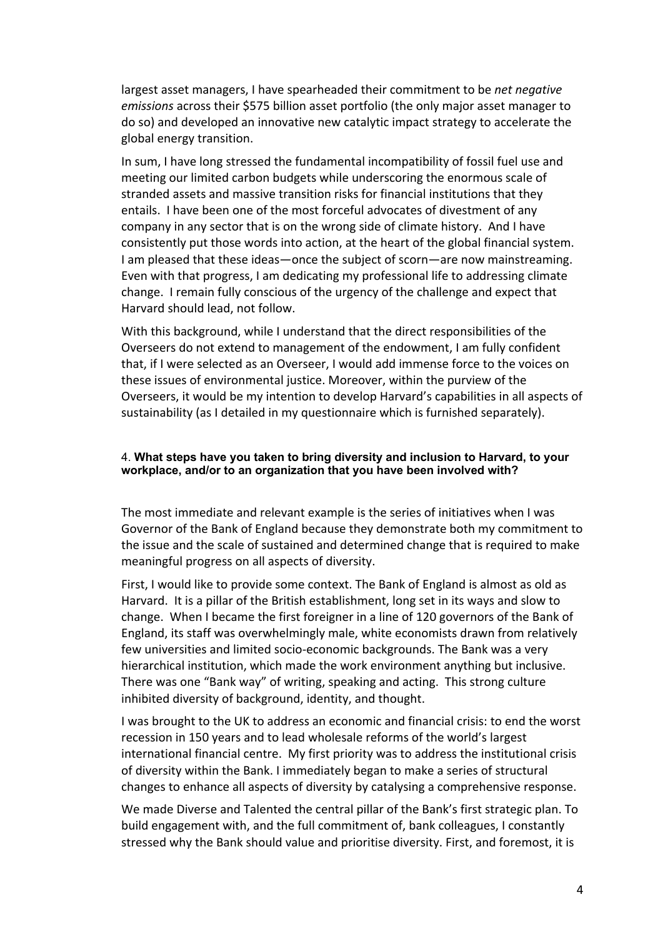largest asset managers, I have spearheaded their commitment to be *net negative emissions* across their \$575 billion asset portfolio (the only major asset manager to do so) and developed an innovative new catalytic impact strategy to accelerate the global energy transition.

In sum, I have long stressed the fundamental incompatibility of fossil fuel use and meeting our limited carbon budgets while underscoring the enormous scale of stranded assets and massive transition risks for financial institutions that they entails. I have been one of the most forceful advocates of divestment of any company in any sector that is on the wrong side of climate history. And I have consistently put those words into action, at the heart of the global financial system. I am pleased that these ideas—once the subject of scorn—are now mainstreaming. Even with that progress, I am dedicating my professional life to addressing climate change. I remain fully conscious of the urgency of the challenge and expect that Harvard should lead, not follow.

With this background, while I understand that the direct responsibilities of the Overseers do not extend to management of the endowment, I am fully confident that, if I were selected as an Overseer, I would add immense force to the voices on these issues of environmental justice. Moreover, within the purview of the Overseers, it would be my intention to develop Harvard's capabilities in all aspects of sustainability (as I detailed in my questionnaire which is furnished separately).

# 4. **What steps have you taken to bring diversity and inclusion to Harvard, to your workplace, and/or to an organization that you have been involved with?**

The most immediate and relevant example is the series of initiatives when I was Governor of the Bank of England because they demonstrate both my commitment to the issue and the scale of sustained and determined change that is required to make meaningful progress on all aspects of diversity.

First, I would like to provide some context. The Bank of England is almost as old as Harvard. It is a pillar of the British establishment, long set in its ways and slow to change. When I became the first foreigner in a line of 120 governors of the Bank of England, its staff was overwhelmingly male, white economists drawn from relatively few universities and limited socio-economic backgrounds. The Bank was a very hierarchical institution, which made the work environment anything but inclusive. There was one "Bank way" of writing, speaking and acting. This strong culture inhibited diversity of background, identity, and thought.

I was brought to the UK to address an economic and financial crisis: to end the worst recession in 150 years and to lead wholesale reforms of the world's largest international financial centre. My first priority was to address the institutional crisis of diversity within the Bank. I immediately began to make a series of structural changes to enhance all aspects of diversity by catalysing a comprehensive response.

We made Diverse and Talented the central pillar of the Bank's first strategic plan. To build engagement with, and the full commitment of, bank colleagues, I constantly stressed why the Bank should value and prioritise diversity. First, and foremost, it is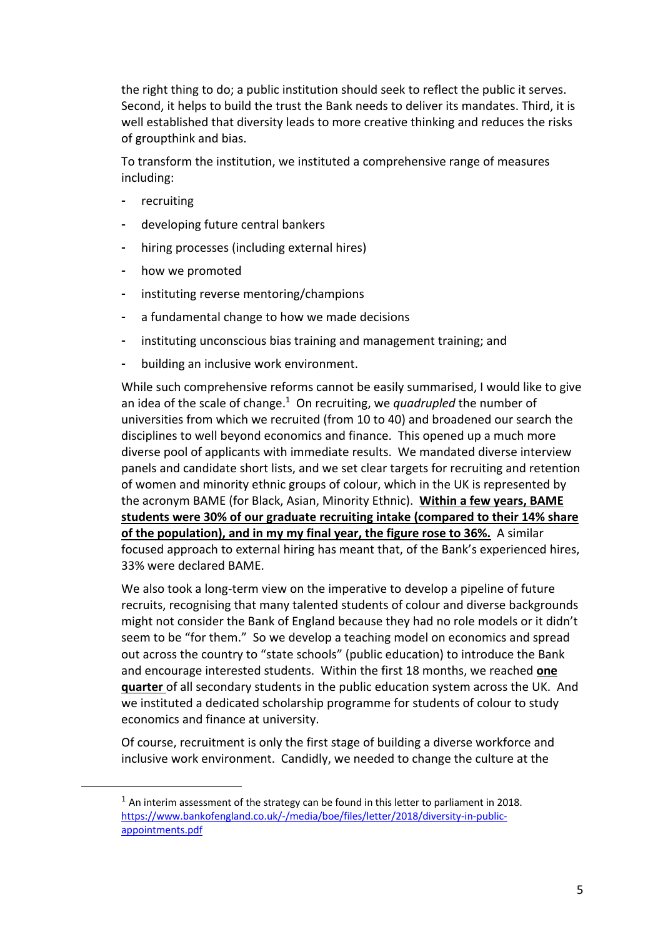the right thing to do; a public institution should seek to reflect the public it serves. Second, it helps to build the trust the Bank needs to deliver its mandates. Third, it is well established that diversity leads to more creative thinking and reduces the risks of groupthink and bias.

To transform the institution, we instituted a comprehensive range of measures including:

- recruiting
- developing future central bankers
- hiring processes (including external hires)
- how we promoted
- instituting reverse mentoring/champions
- a fundamental change to how we made decisions
- instituting unconscious bias training and management training; and
- building an inclusive work environment.

While such comprehensive reforms cannot be easily summarised, I would like to give an idea of the scale of change.1 On recruiting, we *quadrupled* the number of universities from which we recruited (from 10 to 40) and broadened our search the disciplines to well beyond economics and finance. This opened up a much more diverse pool of applicants with immediate results. We mandated diverse interview panels and candidate short lists, and we set clear targets for recruiting and retention of women and minority ethnic groups of colour, which in the UK is represented by the acronym BAME (for Black, Asian, Minority Ethnic). **Within a few years, BAME students were 30% of our graduate recruiting intake (compared to their 14% share of the population), and in my my final year, the figure rose to 36%.** A similar focused approach to external hiring has meant that, of the Bank's experienced hires, 33% were declared BAME.

We also took a long-term view on the imperative to develop a pipeline of future recruits, recognising that many talented students of colour and diverse backgrounds might not consider the Bank of England because they had no role models or it didn't seem to be "for them." So we develop a teaching model on economics and spread out across the country to "state schools" (public education) to introduce the Bank and encourage interested students. Within the first 18 months, we reached **one quarter** of all secondary students in the public education system across the UK. And we instituted a dedicated scholarship programme for students of colour to study economics and finance at university.

Of course, recruitment is only the first stage of building a diverse workforce and inclusive work environment. Candidly, we needed to change the culture at the

 $1$  An interim assessment of the strategy can be found in this letter to parliament in 2018. https://www.bankofengland.co.uk/-/media/boe/files/letter/2018/diversity-in-publicappointments.pdf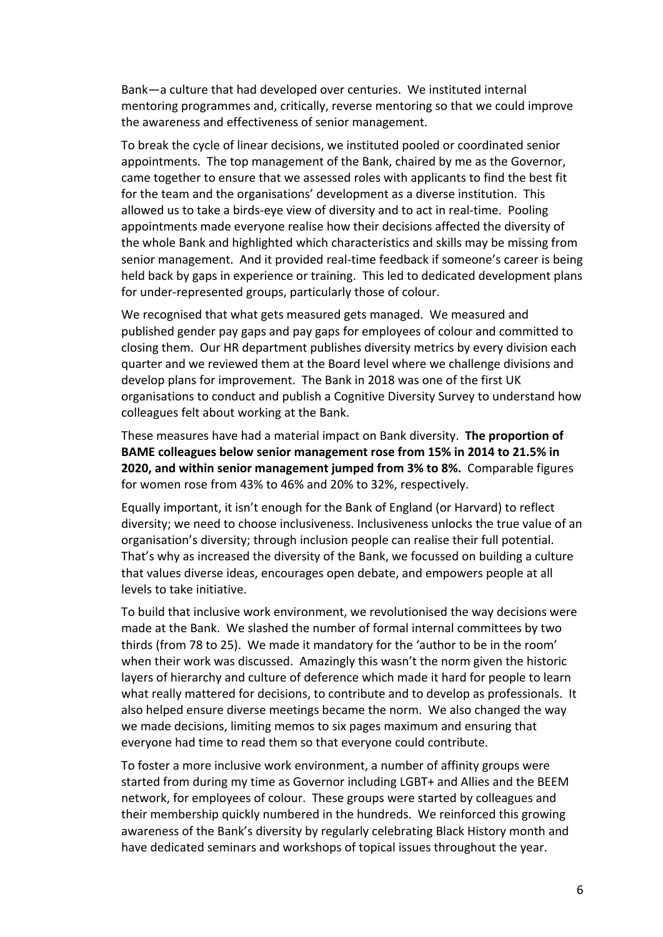Bank—a culture that had developed over centuries. We instituted internal mentoring programmes and, critically, reverse mentoring so that we could improve the awareness and effectiveness of senior management.

To break the cycle of linear decisions, we instituted pooled or coordinated senior appointments. The top management of the Bank, chaired by me as the Governor, came together to ensure that we assessed roles with applicants to find the best fit for the team and the organisations' development as a diverse institution. This allowed us to take a birds-eye view of diversity and to act in real-time. Pooling appointments made everyone realise how their decisions affected the diversity of the whole Bank and highlighted which characteristics and skills may be missing from senior management. And it provided real-time feedback if someone's career is being held back by gaps in experience or training. This led to dedicated development plans for under-represented groups, particularly those of colour.

We recognised that what gets measured gets managed. We measured and published gender pay gaps and pay gaps for employees of colour and committed to closing them. Our HR department publishes diversity metrics by every division each quarter and we reviewed them at the Board level where we challenge divisions and develop plans for improvement. The Bank in 2018 was one of the first UK organisations to conduct and publish a Cognitive Diversity Survey to understand how colleagues felt about working at the Bank.

These measures have had a material impact on Bank diversity. **The proportion of BAME colleagues below senior management rose from 15% in 2014 to 21.5% in 2020, and within senior management jumped from 3% to 8%.** Comparable figures for women rose from 43% to 46% and 20% to 32%, respectively.

Equally important, it isn't enough for the Bank of England (or Harvard) to reflect diversity; we need to choose inclusiveness. Inclusiveness unlocks the true value of an organisation's diversity; through inclusion people can realise their full potential. That's why as increased the diversity of the Bank, we focussed on building a culture that values diverse ideas, encourages open debate, and empowers people at all levels to take initiative.

To build that inclusive work environment, we revolutionised the way decisions were made at the Bank. We slashed the number of formal internal committees by two thirds (from 78 to 25). We made it mandatory for the 'author to be in the room' when their work was discussed. Amazingly this wasn't the norm given the historic layers of hierarchy and culture of deference which made it hard for people to learn what really mattered for decisions, to contribute and to develop as professionals. It also helped ensure diverse meetings became the norm. We also changed the way we made decisions, limiting memos to six pages maximum and ensuring that everyone had time to read them so that everyone could contribute.

To foster a more inclusive work environment, a number of affinity groups were started from during my time as Governor including LGBT+ and Allies and the BEEM network, for employees of colour. These groups were started by colleagues and their membership quickly numbered in the hundreds. We reinforced this growing awareness of the Bank's diversity by regularly celebrating Black History month and have dedicated seminars and workshops of topical issues throughout the year.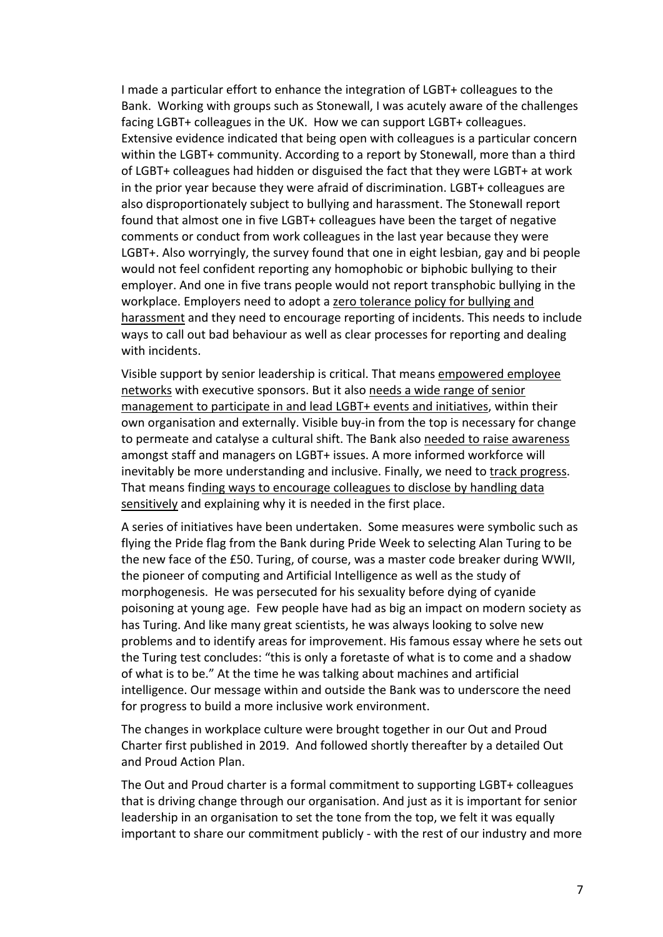I made a particular effort to enhance the integration of LGBT+ colleagues to the Bank. Working with groups such as Stonewall, I was acutely aware of the challenges facing LGBT+ colleagues in the UK. How we can support LGBT+ colleagues. Extensive evidence indicated that being open with colleagues is a particular concern within the LGBT+ community. According to a report by Stonewall, more than a third of LGBT+ colleagues had hidden or disguised the fact that they were LGBT+ at work in the prior year because they were afraid of discrimination. LGBT+ colleagues are also disproportionately subject to bullying and harassment. The Stonewall report found that almost one in five LGBT+ colleagues have been the target of negative comments or conduct from work colleagues in the last year because they were LGBT+. Also worryingly, the survey found that one in eight lesbian, gay and bi people would not feel confident reporting any homophobic or biphobic bullying to their employer. And one in five trans people would not report transphobic bullying in the workplace. Employers need to adopt a zero tolerance policy for bullying and harassment and they need to encourage reporting of incidents. This needs to include ways to call out bad behaviour as well as clear processes for reporting and dealing with incidents.

Visible support by senior leadership is critical. That means empowered employee networks with executive sponsors. But it also needs a wide range of senior management to participate in and lead LGBT+ events and initiatives, within their own organisation and externally. Visible buy-in from the top is necessary for change to permeate and catalyse a cultural shift. The Bank also needed to raise awareness amongst staff and managers on LGBT+ issues. A more informed workforce will inevitably be more understanding and inclusive. Finally, we need to track progress. That means finding ways to encourage colleagues to disclose by handling data sensitively and explaining why it is needed in the first place.

A series of initiatives have been undertaken. Some measures were symbolic such as flying the Pride flag from the Bank during Pride Week to selecting Alan Turing to be the new face of the £50. Turing, of course, was a master code breaker during WWII, the pioneer of computing and Artificial Intelligence as well as the study of morphogenesis. He was persecuted for his sexuality before dying of cyanide poisoning at young age. Few people have had as big an impact on modern society as has Turing. And like many great scientists, he was always looking to solve new problems and to identify areas for improvement. His famous essay where he sets out the Turing test concludes: "this is only a foretaste of what is to come and a shadow of what is to be." At the time he was talking about machines and artificial intelligence. Our message within and outside the Bank was to underscore the need for progress to build a more inclusive work environment.

The changes in workplace culture were brought together in our Out and Proud Charter first published in 2019. And followed shortly thereafter by a detailed Out and Proud Action Plan.

The Out and Proud charter is a formal commitment to supporting LGBT+ colleagues that is driving change through our organisation. And just as it is important for senior leadership in an organisation to set the tone from the top, we felt it was equally important to share our commitment publicly - with the rest of our industry and more